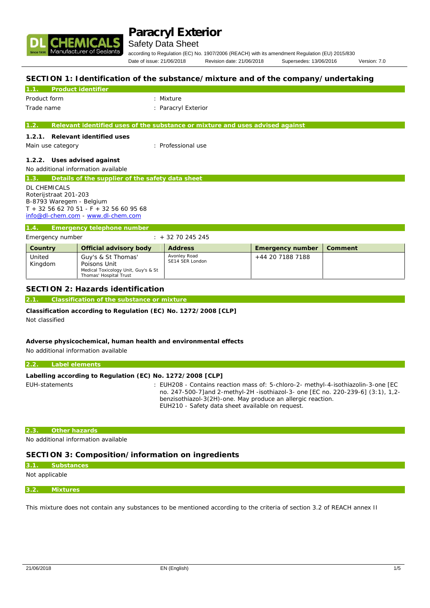

# Safety Data Sheet

according to Regulation (EC) No. 1907/2006 (REACH) with its amendment Regulation (EU) 2015/830 Date of issue: 21/06/2018 Revision date: 21/06/2018 Supersedes: 13/06/2016 Version: 7.0

### **SECTION 1: Identification of the substance/mixture and of the company/undertaking**

| Product identifier<br>1.1                                |                                                                               |  |
|----------------------------------------------------------|-------------------------------------------------------------------------------|--|
| Product form                                             | : Mixture                                                                     |  |
| Trade name                                               | : Paracryl Exterior                                                           |  |
|                                                          |                                                                               |  |
| 1.2.                                                     | Relevant identified uses of the substance or mixture and uses advised against |  |
| Relevant identified uses<br>1.2.1.                       |                                                                               |  |
|                                                          | : Professional use                                                            |  |
| Main use category                                        |                                                                               |  |
| 1.2.2. Uses advised against                              |                                                                               |  |
| No additional information available                      |                                                                               |  |
| Details of the supplier of the safety data sheet<br>1.3. |                                                                               |  |
| <b>DL CHEMICALS</b>                                      |                                                                               |  |
| Roterijstraat 201-203                                    |                                                                               |  |
| B-8793 Waregem - Belgium                                 |                                                                               |  |
| $T + 3256627051 - F + 3256609568$                        |                                                                               |  |
|                                                          |                                                                               |  |
| info@dl-chem.com - www.dl-chem.com                       |                                                                               |  |
| 1.4.<br>Emergency telephone number                       |                                                                               |  |

| Emergency number  |                                                                                                     | $: +3270245245$                 |                  |         |
|-------------------|-----------------------------------------------------------------------------------------------------|---------------------------------|------------------|---------|
| Country           | Official advisory body                                                                              | <b>Address</b>                  | Emergency number | Comment |
| United<br>Kingdom | Guy's & St Thomas'<br>Poisons Unit<br>Medical Toxicology Unit, Guy's & St<br>Thomas' Hospital Trust | Avonley Road<br>SE14 5ER London | +44 20 7188 7188 |         |

## **SECTION 2: Hazards identification**

**2.1. Classification of the substance or mixture**

**Classification according to Regulation (EC) No. 1272/2008 [CLP]** Not classified

**Adverse physicochemical, human health and environmental effects** No additional information available

#### **2.2. Label elements**

| Labelling according to Regulation (EC) No. 1272/2008 [CLP] |                                                                                                                                                                                                                                                                                          |
|------------------------------------------------------------|------------------------------------------------------------------------------------------------------------------------------------------------------------------------------------------------------------------------------------------------------------------------------------------|
| EUH-statements                                             | : EUH208 - Contains reaction mass of: 5-chloro-2- methyl-4-isothiazolin-3-one [EC<br>no. 247-500-7] and 2-methyl-2H -isothiazol-3- one [EC no. 220-239-6] (3:1), 1,2-<br>benzisothiazol-3(2H)-one. May produce an allergic reaction.<br>EUH210 - Safety data sheet available on request. |

#### **2.3. Other hazards**

No additional information available

## **SECTION 3: Composition/information on ingredients**

# **3.1. Substances**

Not applicable

#### **3.2. Mixtures**

This mixture does not contain any substances to be mentioned according to the criteria of section 3.2 of REACH annex II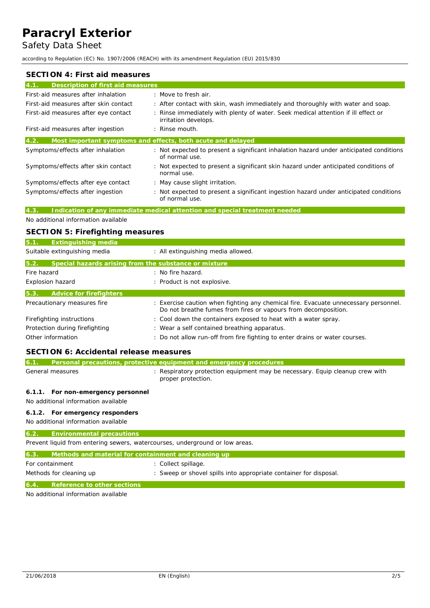Safety Data Sheet

according to Regulation (EC) No. 1907/2006 (REACH) with its amendment Regulation (EU) 2015/830

| SECTION 4: First aid measures             |                                                                                                           |
|-------------------------------------------|-----------------------------------------------------------------------------------------------------------|
| Description of first aid measures<br>4.1. |                                                                                                           |
| First-aid measures after inhalation       | : Move to fresh air.                                                                                      |
| First-aid measures after skin contact     | : After contact with skin, wash immediately and thoroughly with water and soap.                           |
| First-aid measures after eye contact      | : Rinse immediately with plenty of water. Seek medical attention if ill effect or<br>irritation develops. |
| First-aid measures after ingestion        | $:$ Rinse mouth.                                                                                          |
| 4.2.                                      | Most important symptoms and effects, both acute and delayed                                               |
| Symptoms/effects after inhalation         | : Not expected to present a significant inhalation hazard under anticipated conditions<br>of normal use.  |
| Symptoms/effects after skin contact       | : Not expected to present a significant skin hazard under anticipated conditions of<br>normal use.        |
| Symptoms/effects after eye contact        | : May cause slight irritation.                                                                            |
| Symptoms/effects after ingestion          | : Not expected to present a significant ingestion hazard under anticipated conditions<br>of normal use.   |

# **4.3. Indication of any immediate medical attention and special treatment needed**

No additional information available

# **SECTION 5: Firefighting measures**

| 5.1.             | Extinguishing media                                   |                                                                                                                                                       |
|------------------|-------------------------------------------------------|-------------------------------------------------------------------------------------------------------------------------------------------------------|
|                  | Suitable extinguishing media                          | : All extinguishing media allowed.                                                                                                                    |
| 5.2.             | Special hazards arising from the substance or mixture |                                                                                                                                                       |
| Fire hazard      |                                                       | : No fire hazard.                                                                                                                                     |
| Explosion hazard |                                                       | : Product is not explosive.                                                                                                                           |
| 5.3.             | Advice for firefighters                               |                                                                                                                                                       |
|                  | Precautionary measures fire                           | : Exercise caution when fighting any chemical fire. Evacuate unnecessary personnel.<br>Do not breathe fumes from fires or vapours from decomposition. |
|                  | Firefighting instructions                             | : Cool down the containers exposed to heat with a water spray.                                                                                        |
|                  | Protection during firefighting                        | : Wear a self contained breathing apparatus.                                                                                                          |
|                  | Other information                                     | : Do not allow run-off from fire fighting to enter drains or water courses.                                                                           |

# **SECTION 6: Accidental release measures**

| 6.1.                                                                         | Personal precautions, protective equipment and emergency procedures                                |
|------------------------------------------------------------------------------|----------------------------------------------------------------------------------------------------|
| General measures                                                             | : Respiratory protection equipment may be necessary. Equip cleanup crew with<br>proper protection. |
| 6.1.1. For non-emergency personnel<br>No additional information available    |                                                                                                    |
| 6.1.2. For emergency responders<br>No additional information available       |                                                                                                    |
| 6.2.<br>Environmental precautions                                            |                                                                                                    |
| Prevent liquid from entering sewers, watercourses, underground or low areas. |                                                                                                    |
| 6.3.<br>Methods and material for containment and cleaning up                 |                                                                                                    |
| For containment                                                              | : Collect spillage.                                                                                |
| Methods for cleaning up                                                      | : Sweep or shovel spills into appropriate container for disposal.                                  |
| 6.4.<br>Reference to other sections                                          |                                                                                                    |

No additional information available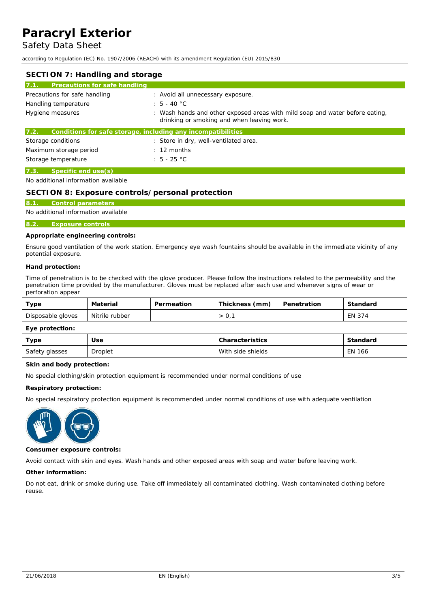Safety Data Sheet

according to Regulation (EC) No. 1907/2006 (REACH) with its amendment Regulation (EU) 2015/830

| SECTION 7: Handling and storage                                      |                                                                                                                            |
|----------------------------------------------------------------------|----------------------------------------------------------------------------------------------------------------------------|
| 7.1.<br>Precautions for safe handling                                |                                                                                                                            |
| Precautions for safe handling                                        | : Avoid all unnecessary exposure.                                                                                          |
| Handling temperature                                                 | $: 5 - 40 °C$                                                                                                              |
| Hygiene measures                                                     | : Wash hands and other exposed areas with mild soap and water before eating,<br>drinking or smoking and when leaving work. |
| 7.2.<br>Conditions for safe storage, including any incompatibilities |                                                                                                                            |
| Storage conditions                                                   | : Store in dry, well-ventilated area.                                                                                      |
| Maximum storage period                                               | $\therefore$ 12 months                                                                                                     |
| Storage temperature                                                  | $\div$ 5 - 25 °C                                                                                                           |
| 7.3.<br>Specific end use(s)                                          |                                                                                                                            |

No additional information available

### **SECTION 8: Exposure controls/personal protection**

### **8.1. Control parameters**

#### No additional information available

# **8.2. Exposure controls**

#### **Appropriate engineering controls:**

Ensure good ventilation of the work station. Emergency eye wash fountains should be available in the immediate vicinity of any potential exposure.

**Hand protection:**

Time of penetration is to be checked with the glove producer. Please follow the instructions related to the permeability and the penetration time provided by the manufacturer. Gloves must be replaced after each use and whenever signs of wear or perforation appear

| Туре              | Material       | Permeation | Thickness (mm) | Penetration | Standard |
|-------------------|----------------|------------|----------------|-------------|----------|
| Disposable gloves | Nitrile rubber |            | U,             |             | EN 374   |

**Eye protection:**

| Type           | Jse            | Characteristics   | Standard |
|----------------|----------------|-------------------|----------|
| Safety glasses | <b>Droplet</b> | With side shields | EN 166   |

**Skin and body protection:**

No special clothing/skin protection equipment is recommended under normal conditions of use

**Respiratory protection:**

No special respiratory protection equipment is recommended under normal conditions of use with adequate ventilation



**Consumer exposure controls:**

Avoid contact with skin and eyes. Wash hands and other exposed areas with soap and water before leaving work.

**Other information:**

Do not eat, drink or smoke during use. Take off immediately all contaminated clothing. Wash contaminated clothing before reuse.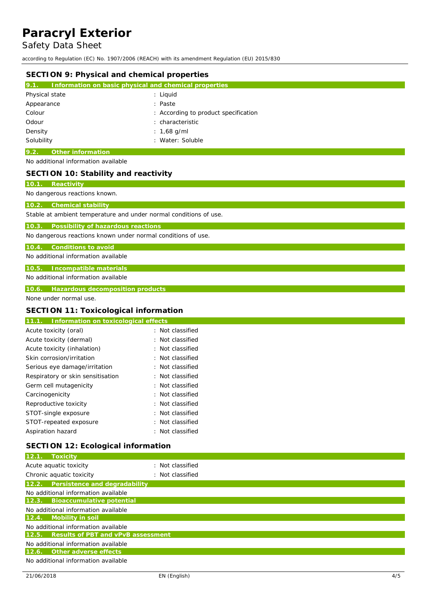Safety Data Sheet

according to Regulation (EC) No. 1907/2006 (REACH) with its amendment Regulation (EU) 2015/830

| SECTION 9: Physical and chemical properties                                                             |                                                       |
|---------------------------------------------------------------------------------------------------------|-------------------------------------------------------|
| 9.1.                                                                                                    | Information on basic physical and chemical properties |
| Physical state                                                                                          | : Liquid                                              |
| Appearance                                                                                              | : Paste                                               |
| Colour                                                                                                  | : According to product specification                  |
| Odour                                                                                                   | characteristic                                        |
| Density<br>Solubility                                                                                   | 1,68 g/ml<br>: Water: Soluble                         |
|                                                                                                         |                                                       |
| Other information<br>9.2.<br>No additional information available                                        |                                                       |
| SECTION 10: Stability and reactivity                                                                    |                                                       |
| 10.1. Reactivity                                                                                        |                                                       |
| No dangerous reactions known.                                                                           |                                                       |
| <b>Chemical stability</b><br>10.2.<br>Stable at ambient temperature and under normal conditions of use. |                                                       |
| 10.3.<br>Possibility of hazardous reactions                                                             |                                                       |
| No dangerous reactions known under normal conditions of use.                                            |                                                       |
| Conditions to avoid<br>10.4.                                                                            |                                                       |
| No additional information available                                                                     |                                                       |
| Incompatible materials<br>10.5.                                                                         |                                                       |
| No additional information available                                                                     |                                                       |
| Hazardous decomposition products<br>10.6.                                                               |                                                       |
| None under normal use.                                                                                  |                                                       |
| SECTION 11: Toxicological information                                                                   |                                                       |
| 11.1. Information on toxicological effects                                                              |                                                       |
| Acute toxicity (oral)                                                                                   | : Not classified                                      |
| Acute toxicity (dermal)                                                                                 | Not classified                                        |
| Acute toxicity (inhalation)                                                                             | : Not classified                                      |
| Skin corrosion/irritation                                                                               | : Not classified                                      |
| Serious eye damage/irritation                                                                           | : Not classified                                      |
| Respiratory or skin sensitisation                                                                       | Not classified                                        |
| Germ cell mutagenicity                                                                                  | : Not classified                                      |
| Carcinogenicity                                                                                         | : Not classified                                      |
| Reproductive toxicity                                                                                   | Not classified                                        |
| STOT-single exposure                                                                                    | Not classified                                        |
| STOT-repeated exposure                                                                                  | : Not classified                                      |
| Aspiration hazard                                                                                       | : Not classified                                      |
| SECTION 12: Ecological information                                                                      |                                                       |
| 12.1. Toxicity                                                                                          |                                                       |
| Acute aquatic toxicity                                                                                  | : Not classified                                      |
| Chronic aquatic toxicity                                                                                | : Not classified                                      |
| Persistence and degradability<br>12.2.                                                                  |                                                       |
| No additional information available<br>Bioaccumulative potential<br>12.3.                               |                                                       |
| No additional information available                                                                     |                                                       |
| Mobility in soil<br>12.4.<br>No additional information available                                        |                                                       |
| Results of PBT and vPvB assessment<br>12.5.                                                             |                                                       |
| No additional information available                                                                     |                                                       |

**12.6. Other adverse effects**

No additional information available